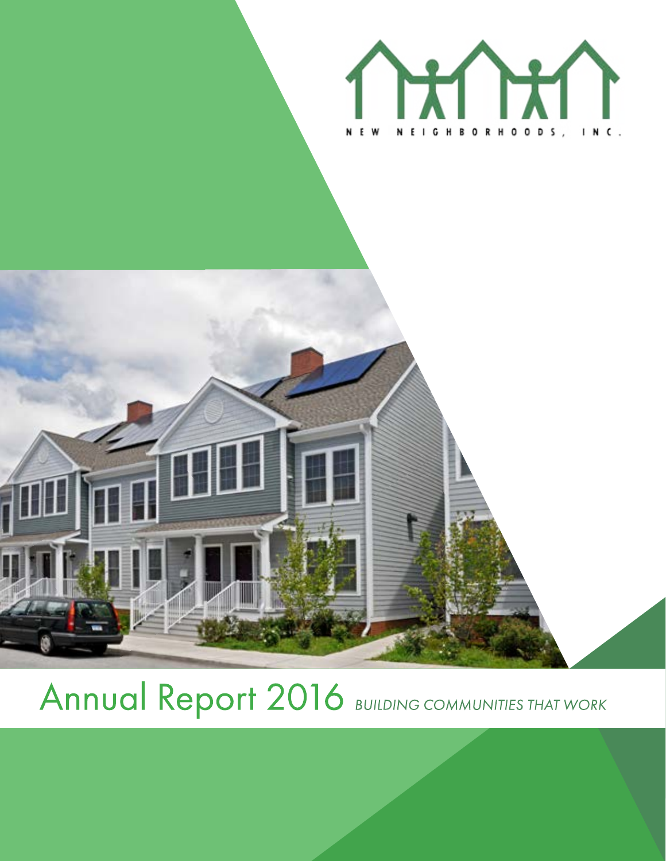



# Annual Report 2016 BUILDING COMMUNITIES THAT WORK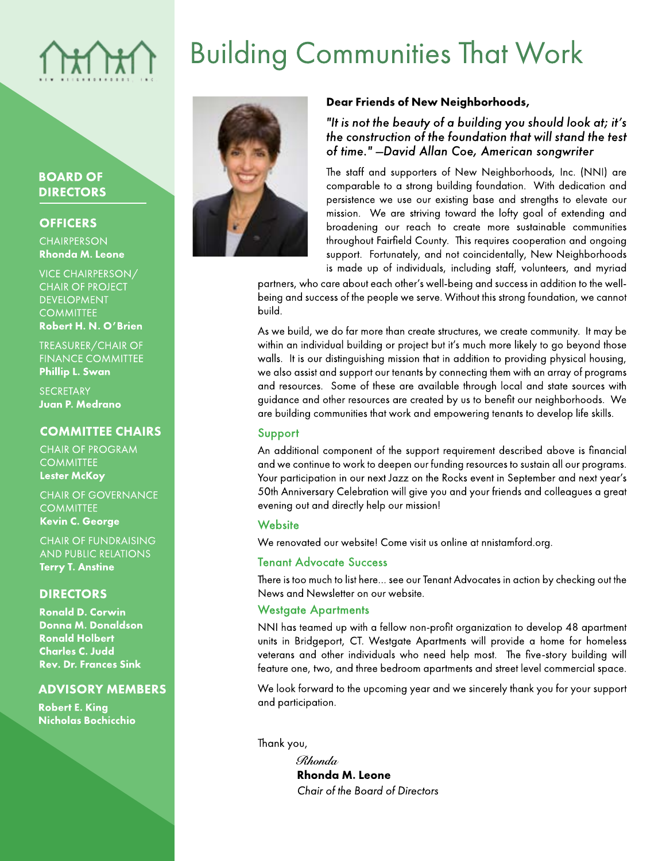# **Building Communities That Work**

### **BOARD OF DIRECTORS**

### **OFFICERS**

**CHAIRPERSON Rhonda M. Leone** 

**VICE CHAIRPERSON/ CHAIR OF PROJECT DEVELOPMENT COMMITTEE** Robert H. N. O'Brien

TREASURER/CHAIR OF **FINANCE COMMITTEE Phillip L. Swan** 

**SECRETARY** Juan P. Medrano

### **COMMITTEE CHAIRS**

**CHAIR OF PROGRAM COMMITTEE Lester McKoy** 

**CHAIR OF GOVERNANCE COMMITTEE Kevin C. George** 

**CHAIR OF FUNDRAISING AND PUBLIC RELATIONS Terry T. Anstine** 

### **DIRECTORS**

**Ronald D. Corwin Donna M. Donaldson Ronald Holbert Charles C. Judd Rev. Dr. Frances Sink** 

### **ADVISORY MEMBERS**

**Robert E. King Nicholas Bochicchio** 



### Dear Friends of New Neighborhoods,

"It is not the beauty of a building you should look at; it's the construction of the foundation that will stand the test of time." -David Allan Coe, American songwriter

The staff and supporters of New Neighborhoods, Inc. (NNI) are comparable to a strong building foundation. With dedication and persistence we use our existing base and strengths to elevate our mission. We are striving toward the lofty goal of extending and broadening our reach to create more sustainable communities throughout Fairfield County. This requires cooperation and ongoing support. Fortunately, and not coincidentally, New Neighborhoods is made up of individuals, including staff, volunteers, and myriad

partners, who care about each other's well-being and success in addition to the wellbeing and success of the people we serve. Without this strong foundation, we cannot build.

As we build, we do far more than create structures, we create community. It may be within an individual building or project but it's much more likely to go beyond those walls. It is our distinguishing mission that in addition to providing physical housing, we also assist and support our tenants by connecting them with an array of programs and resources. Some of these are available through local and state sources with guidance and other resources are created by us to benefit our neighborhoods. We are building communities that work and empowering tenants to develop life skills.

### Support

An additional component of the support requirement described above is financial and we continue to work to deepen our funding resources to sustain all our programs. Your participation in our next Jazz on the Rocks event in September and next year's 50th Anniversary Celebration will give you and your friends and colleagues a great evening out and directly help our mission!

### Website

We renovated our website! Come visit us online at nnistamford.org.

### **Tenant Advocate Success**

There is too much to list here... see our Tenant Advocates in action by checking out the News and Newsletter on our website.

### **Westgate Apartments**

NNI has teamed up with a fellow non-profit organization to develop 48 apartment units in Bridgeport, CT. Westgate Apartments will provide a home for homeless veterans and other individuals who need help most. The five-story building will feature one, two, and three bedroom apartments and street level commercial space.

We look forward to the upcoming year and we sincerely thank you for your support and participation.

Thank you,

Rhonda **Rhonda M. Leone** Chair of the Board of Directors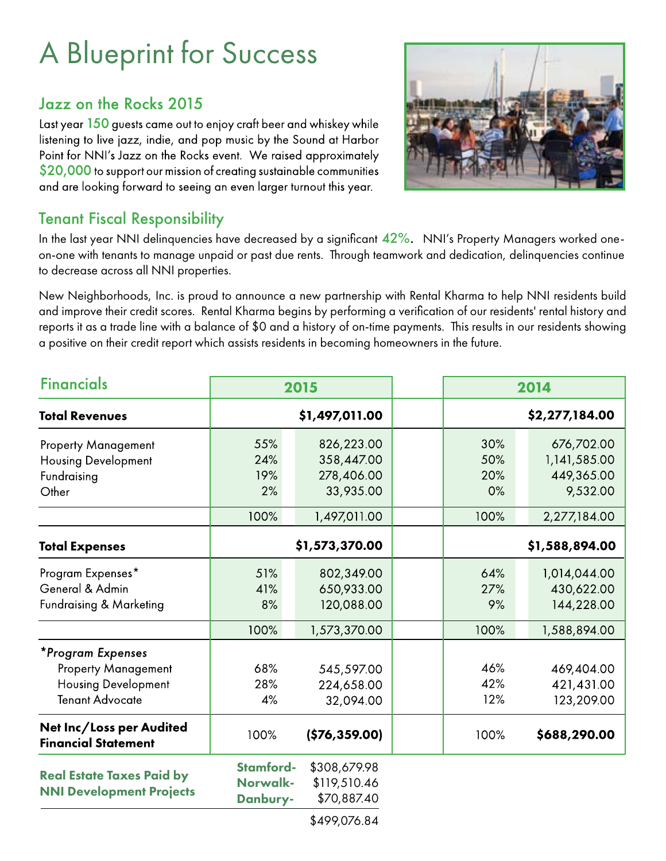# **A Blueprint for Success**

### Jazz on the Rocks 2015

Last year 150 guests came out to enjoy craft beer and whiskey while listening to live jazz, indie, and pop music by the Sound at Harbor Point for NNI's Jazz on the Rocks event. We raised approximately  $$20,000$  to support our mission of creating sustainable communities and are looking forward to seeing an even larger turnout this year.



### Tenant Fiscal Responsibility

In the last year NNI delinquencies have decreased by a significant 42%. NNI's Property Managers worked oneon-one with tenants to manage unpaid or past due rents. Through teamwork and dedication, delinquencies continue to decrease across all NNI properties.

New Neighborhoods, Inc. is proud to announce a new partnership with Rental Kharma to help NNI residents build and improve their credit scores. Rental Kharma begins by performing a verification of our residents' rental history and reports it as a trade line with a balance of \$0 and a history of on-time payments. This results in our residents showing a positive on their credit report which assists residents in becoming homeowners in the future.

| <b>Financials</b>                                                                                       | 2015<br>\$1,497,011.00                   |                                                                     |  | 2014<br>\$2,277,184.00          |                                                          |
|---------------------------------------------------------------------------------------------------------|------------------------------------------|---------------------------------------------------------------------|--|---------------------------------|----------------------------------------------------------|
| <b>Total Revenues</b>                                                                                   |                                          |                                                                     |  |                                 |                                                          |
| <b>Property Management</b><br><b>Housing Development</b><br>Fundraising<br>Other                        | 55%<br>24%<br>19%<br>2%<br>100%          | 826,223.00<br>358,447.00<br>278,406.00<br>33,935.00<br>1,497,011.00 |  | 30%<br>50%<br>20%<br>0%<br>100% | 676,702.00<br>1,141,585.00<br>449,365.00<br>9,532.00     |
| <b>Total Expenses</b>                                                                                   | \$1,573,370.00                           |                                                                     |  | 2,277,184.00<br>\$1,588,894.00  |                                                          |
| Program Expenses*<br>General & Admin<br><b>Fundraising &amp; Marketing</b>                              | 51%<br>41%<br>8%<br>100%                 | 802,349.00<br>650,933.00<br>120,088.00<br>1,573,370.00              |  | 64%<br>27%<br>9%<br>100%        | 1,014,044.00<br>430,622.00<br>144,228.00<br>1,588,894.00 |
| *Program Expenses<br><b>Property Management</b><br><b>Housing Development</b><br><b>Tenant Advocate</b> | 68%<br>28%<br>4%                         | 545,597.00<br>224,658.00<br>32,094.00                               |  | 46%<br>42%<br>12%               | 469,404.00<br>421,431.00<br>123,209.00                   |
| Net Inc/Loss per Audited<br><b>Financial Statement</b>                                                  | 100%                                     | (\$76,359.00)                                                       |  | 100%                            | \$688,290.00                                             |
| <b>Real Estate Taxes Paid by</b><br><b>NNI Development Projects</b>                                     | <b>Stamford-</b><br>Norwalk-<br>Danbury- | \$308,679.98<br>\$119,510.46<br>\$70,887.40                         |  |                                 |                                                          |
|                                                                                                         |                                          | $*$ 100.07/0.1                                                      |  |                                 |                                                          |